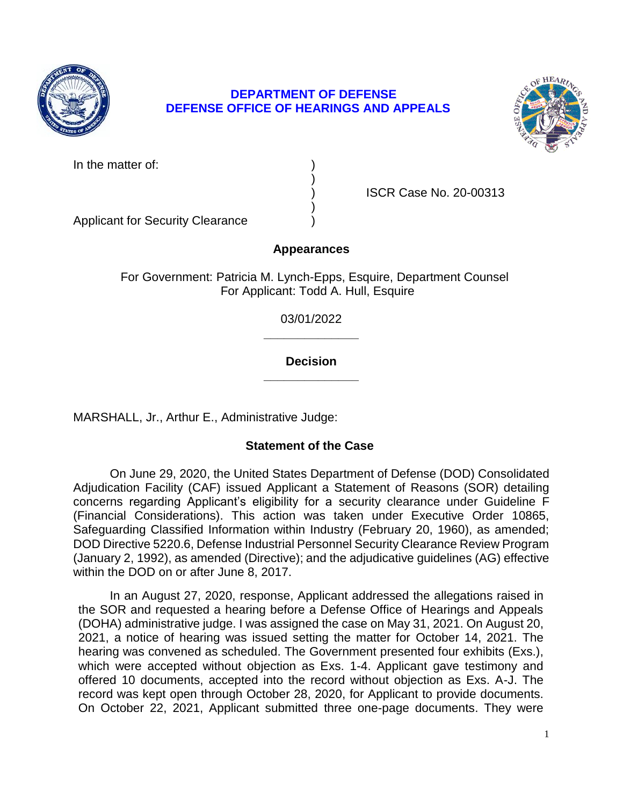

# **DEPARTMENT OF DEFENSE DEFENSE OFFICE OF HEARINGS AND APPEALS**



In the matter of:

) ISCR Case No. 20-00313

Applicant for Security Clearance )

# **Appearances**

)

)

For Government: Patricia M. Lynch-Epps, Esquire, Department Counsel For Applicant: Todd A. Hull, Esquire

> **\_\_\_\_\_\_\_\_\_\_\_\_\_\_**  03/01/2022

> **\_\_\_\_\_\_\_\_\_\_\_\_\_\_ Decision**

MARSHALL, Jr., Arthur E., Administrative Judge:

# **Statement of the Case**

 On June 29, 2020, the United States Department of Defense (DOD) Consolidated Adjudication Facility (CAF) issued Applicant a Statement of Reasons (SOR) detailing concerns regarding Applicant's eligibility for a security clearance under Guideline F Safeguarding Classified Information within Industry (February 20, 1960), as amended; DOD Directive 5220.6, Defense Industrial Personnel Security Clearance Review Program (January 2, 1992), as amended (Directive); and the adjudicative guidelines (AG) effective (Financial Considerations). This action was taken under Executive Order 10865, within the DOD on or after June 8, 2017.

 In an August 27, 2020, response, Applicant addressed the allegations raised in the SOR and requested a hearing before a Defense Office of Hearings and Appeals (DOHA) administrative judge. I was assigned the case on May 31, 2021. On August 20, 2021, a notice of hearing was issued setting the matter for October 14, 2021. The which were accepted without objection as Exs. 1-4. Applicant gave testimony and offered 10 documents, accepted into the record without objection as Exs. A-J. The record was kept open through October 28, 2020, for Applicant to provide documents. hearing was convened as scheduled. The Government presented four exhibits (Exs.), On October 22, 2021, Applicant submitted three one-page documents. They were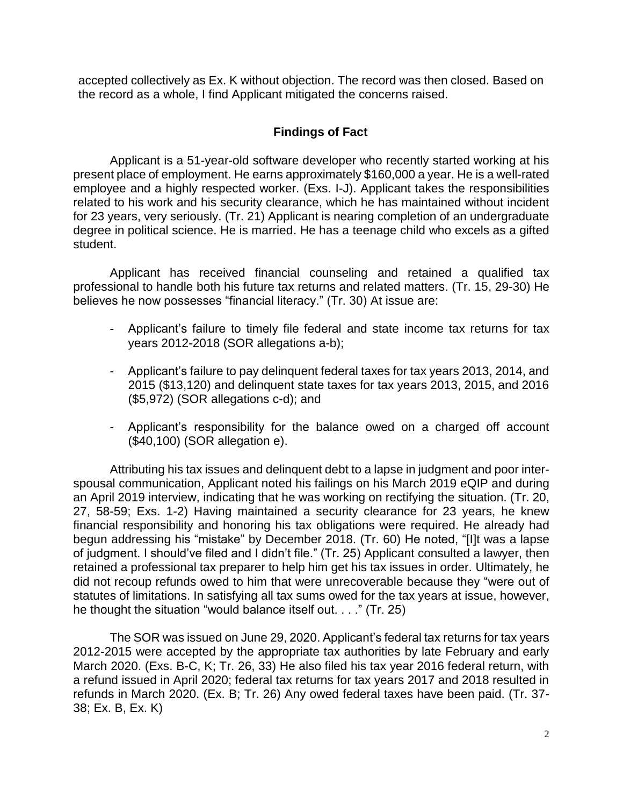accepted collectively as Ex. K without objection. The record was then closed. Based on the record as a whole, I find Applicant mitigated the concerns raised.

## **Findings of Fact**

 Applicant is a 51-year-old software developer who recently started working at his present place of employment. He earns approximately \$160,000 a year. He is a well-rated employee and a highly respected worker. (Exs. I-J). Applicant takes the responsibilities related to his work and his security clearance, which he has maintained without incident for 23 years, very seriously. (Tr. 21) Applicant is nearing completion of an undergraduate degree in political science. He is married. He has a teenage child who excels as a gifted student.

 Applicant has received financial counseling and retained a qualified tax professional to handle both his future tax returns and related matters. (Tr. 15, 29-30) He believes he now possesses "financial literacy." (Tr. 30) At issue are:

- - Applicant's failure to timely file federal and state income tax returns for tax years 2012-2018 (SOR allegations a-b);
- Applicant's failure to pay delinquent federal taxes for tax years 2013, 2014, and 2015 (\$13,120) and delinquent state taxes for tax years 2013, 2015, and 2016 (\$5,972) (SOR allegations c-d); and
- - Applicant's responsibility for the balance owed on a charged off account (\$40,100) (SOR allegation e).

 Attributing his tax issues and delinquent debt to a lapse in judgment and poor inter- spousal communication, Applicant noted his failings on his March 2019 eQIP and during an April 2019 interview, indicating that he was working on rectifying the situation. (Tr. 20, 27, 58-59; Exs. 1-2) Having maintained a security clearance for 23 years, he knew financial responsibility and honoring his tax obligations were required. He already had begun addressing his "mistake" by December 2018. (Tr. 60) He noted, "[I]t was a lapse retained a professional tax preparer to help him get his tax issues in order. Ultimately, he did not recoup refunds owed to him that were unrecoverable because they "were out of statutes of limitations. In satisfying all tax sums owed for the tax years at issue, however, of judgment. I should've filed and I didn't file." (Tr. 25) Applicant consulted a lawyer, then he thought the situation "would balance itself out. . . ." (Tr. 25)

The SOR was issued on June 29, 2020. Applicant's federal tax returns for tax years 2012-2015 were accepted by the appropriate tax authorities by late February and early March 2020. (Exs. B-C, K; Tr. 26, 33) He also filed his tax year 2016 federal return, with a refund issued in April 2020; federal tax returns for tax years 2017 and 2018 resulted in refunds in March 2020. (Ex. B; Tr. 26) Any owed federal taxes have been paid. (Tr. 37- 38; Ex. B, Ex. K)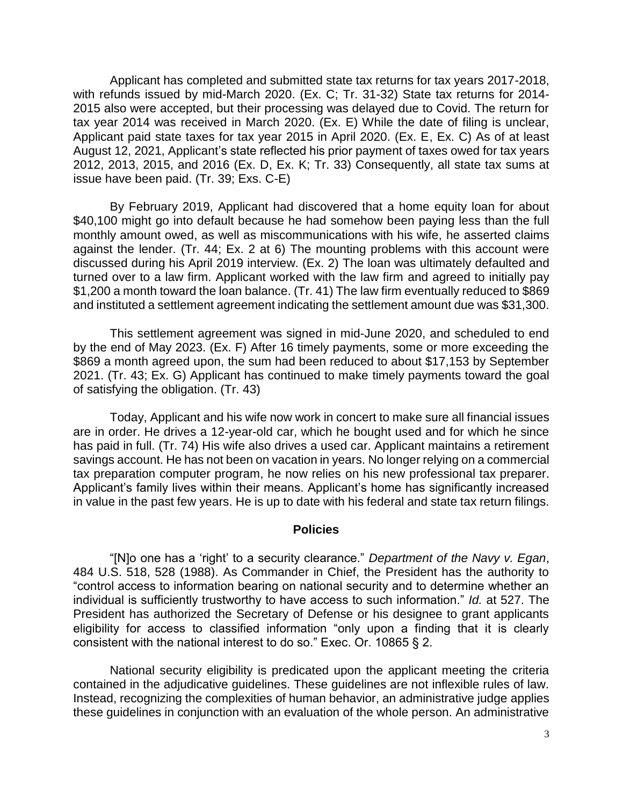Applicant has completed and submitted state tax returns for tax years 2017-2018, with refunds issued by mid-March 2020. (Ex. C; Tr. 31-32) State tax returns for 2014- 2015 also were accepted, but their processing was delayed due to Covid. The return for tax year 2014 was received in March 2020. (Ex. E) While the date of filing is unclear, Applicant paid state taxes for tax year 2015 in April 2020. (Ex. E, Ex. C) As of at least August 12, 2021, Applicant's state reflected his prior payment of taxes owed for tax years 2012, 2013, 2015, and 2016 (Ex. D, Ex. K; Tr. 33) Consequently, all state tax sums at issue have been paid. (Tr. 39; Exs. C-E)

 By February 2019, Applicant had discovered that a home equity loan for about \$40,100 might go into default because he had somehow been paying less than the full monthly amount owed, as well as miscommunications with his wife, he asserted claims against the lender. (Tr. 44; Ex. 2 at 6) The mounting problems with this account were discussed during his April 2019 interview. (Ex. 2) The loan was ultimately defaulted and turned over to a law firm. Applicant worked with the law firm and agreed to initially pay \$1,200 a month toward the loan balance. (Tr. 41) The law firm eventually reduced to \$869 and instituted a settlement agreement indicating the settlement amount due was \$31,300.

 This settlement agreement was signed in mid-June 2020, and scheduled to end by the end of May 2023. (Ex. F) After 16 timely payments, some or more exceeding the \$869 a month agreed upon, the sum had been reduced to about \$17,153 by September 2021. (Tr. 43; Ex. G) Applicant has continued to make timely payments toward the goal of satisfying the obligation. (Tr. 43)

 Today, Applicant and his wife now work in concert to make sure all financial issues are in order. He drives a 12-year-old car, which he bought used and for which he since has paid in full. (Tr. 74) His wife also drives a used car. Applicant maintains a retirement savings account. He has not been on vacation in years. No longer relying on a commercial tax preparation computer program, he now relies on his new professional tax preparer. Applicant's family lives within their means. Applicant's home has significantly increased in value in the past few years. He is up to date with his federal and state tax return filings.

#### **Policies**

 "[N]o one has a 'right' to a security clearance." *Department of the Navy v. Egan*, 484 U.S. 518, 528 (1988). As Commander in Chief, the President has the authority to "control access to information bearing on national security and to determine whether an individual is sufficiently trustworthy to have access to such information." *Id.* at 527. The President has authorized the Secretary of Defense or his designee to grant applicants eligibility for access to classified information "only upon a finding that it is clearly consistent with the national interest to do so." Exec. Or. 10865 § 2.

 National security eligibility is predicated upon the applicant meeting the criteria contained in the adjudicative guidelines. These guidelines are not inflexible rules of law. Instead, recognizing the complexities of human behavior, an administrative judge applies these guidelines in conjunction with an evaluation of the whole person. An administrative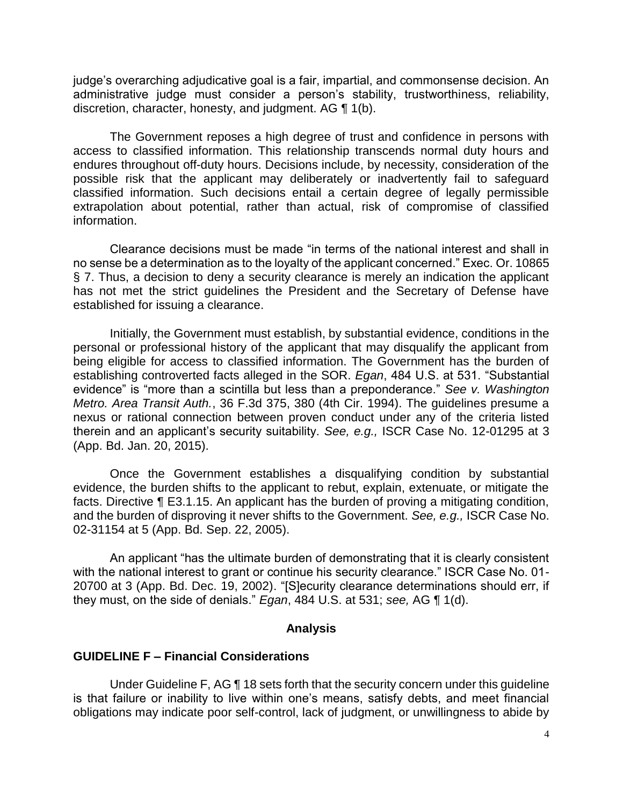administrative judge must consider a person's stability, trustworthiness, reliability, discretion, character, honesty, and judgment. AG ¶ 1(b). judge's overarching adjudicative goal is a fair, impartial, and commonsense decision. An

 The Government reposes a high degree of trust and confidence in persons with access to classified information. This relationship transcends normal duty hours and endures throughout off-duty hours. Decisions include, by necessity, consideration of the possible risk that the applicant may deliberately or inadvertently fail to safeguard classified information. Such decisions entail a certain degree of legally permissible extrapolation about potential, rather than actual, risk of compromise of classified information.

 Clearance decisions must be made "in terms of the national interest and shall in no sense be a determination as to the loyalty of the applicant concerned." Exec. Or. 10865 § 7. Thus, a decision to deny a security clearance is merely an indication the applicant has not met the strict guidelines the President and the Secretary of Defense have established for issuing a clearance.

 Initially, the Government must establish, by substantial evidence, conditions in the personal or professional history of the applicant that may disqualify the applicant from being eligible for access to classified information. The Government has the burden of establishing controverted facts alleged in the SOR. *Egan*, 484 U.S. at 531. "Substantial evidence" is "more than a scintilla but less than a preponderance." *See v. Washington Metro. Area Transit Auth.*, 36 F.3d 375, 380 (4th Cir. 1994). The guidelines presume a nexus or rational connection between proven conduct under any of the criteria listed therein and an applicant's security suitability. *See, e.g.,* ISCR Case No. 12-01295 at 3 (App. Bd. Jan. 20, 2015).

 Once the Government establishes a disqualifying condition by substantial evidence, the burden shifts to the applicant to rebut, explain, extenuate, or mitigate the facts. Directive ¶ E3.1.15. An applicant has the burden of proving a mitigating condition, and the burden of disproving it never shifts to the Government. *See, e.g.,* ISCR Case No. 02-31154 at 5 (App. Bd. Sep. 22, 2005).

An applicant "has the ultimate burden of demonstrating that it is clearly consistent with the national interest to grant or continue his security clearance." ISCR Case No. 01- 20700 at 3 (App. Bd. Dec. 19, 2002). "[S]ecurity clearance determinations should err, if they must, on the side of denials." *Egan*, 484 U.S. at 531; *see,* AG ¶ 1(d).

#### **Analysis**

### **GUIDELINE F – Financial Considerations**

Under Guideline F, AG ¶ 18 sets forth that the security concern under this guideline is that failure or inability to live within one's means, satisfy debts, and meet financial obligations may indicate poor self-control, lack of judgment, or unwillingness to abide by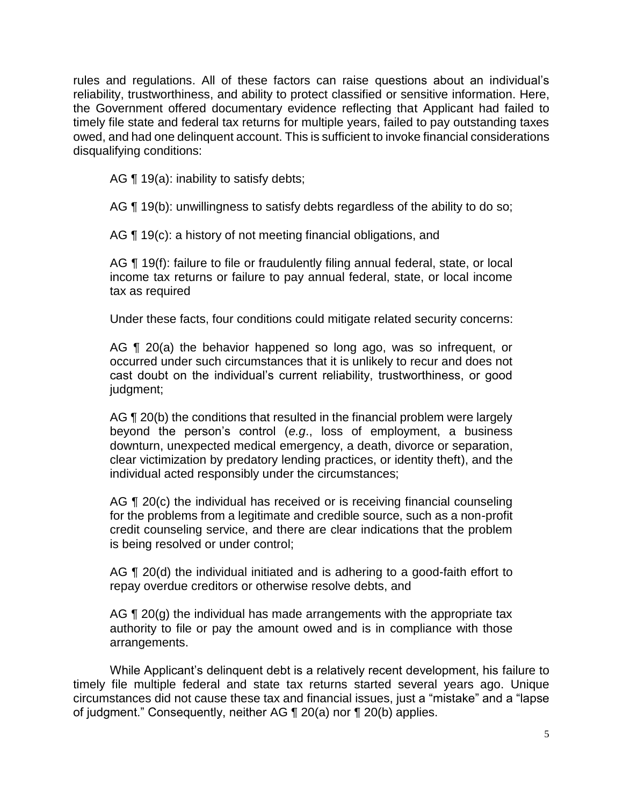rules and regulations. All of these factors can raise questions about an individual's reliability, trustworthiness, and ability to protect classified or sensitive information. Here, the Government offered documentary evidence reflecting that Applicant had failed to timely file state and federal tax returns for multiple years, failed to pay outstanding taxes owed, and had one delinquent account. This is sufficient to invoke financial considerations disqualifying conditions:

AG  $\P$  19(a): inability to satisfy debts;

AG ¶ 19(b): unwillingness to satisfy debts regardless of the ability to do so;

AG ¶ 19(c): a history of not meeting financial obligations, and

AG ¶ 19(f): failure to file or fraudulently filing annual federal, state, or local income tax returns or failure to pay annual federal, state, or local income tax as required

Under these facts, four conditions could mitigate related security concerns:

AG ¶ 20(a) the behavior happened so long ago, was so infrequent, or occurred under such circumstances that it is unlikely to recur and does not cast doubt on the individual's current reliability, trustworthiness, or good judgment;

AG ¶ 20(b) the conditions that resulted in the financial problem were largely beyond the person's control (*e.g*., loss of employment, a business clear victimization by predatory lending practices, or identity theft), and the downturn, unexpected medical emergency, a death, divorce or separation, individual acted responsibly under the circumstances;

AG ¶ 20(c) the individual has received or is receiving financial counseling for the problems from a legitimate and credible source, such as a non-profit credit counseling service, and there are clear indications that the problem is being resolved or under control;

AG ¶ 20(d) the individual initiated and is adhering to a good-faith effort to repay overdue creditors or otherwise resolve debts, and

AG  $\P$  20(g) the individual has made arrangements with the appropriate tax authority to file or pay the amount owed and is in compliance with those arrangements.

 While Applicant's delinquent debt is a relatively recent development, his failure to timely file multiple federal and state tax returns started several years ago. Unique circumstances did not cause these tax and financial issues, just a "mistake" and a "lapse of judgment." Consequently, neither AG ¶ 20(a) nor ¶ 20(b) applies.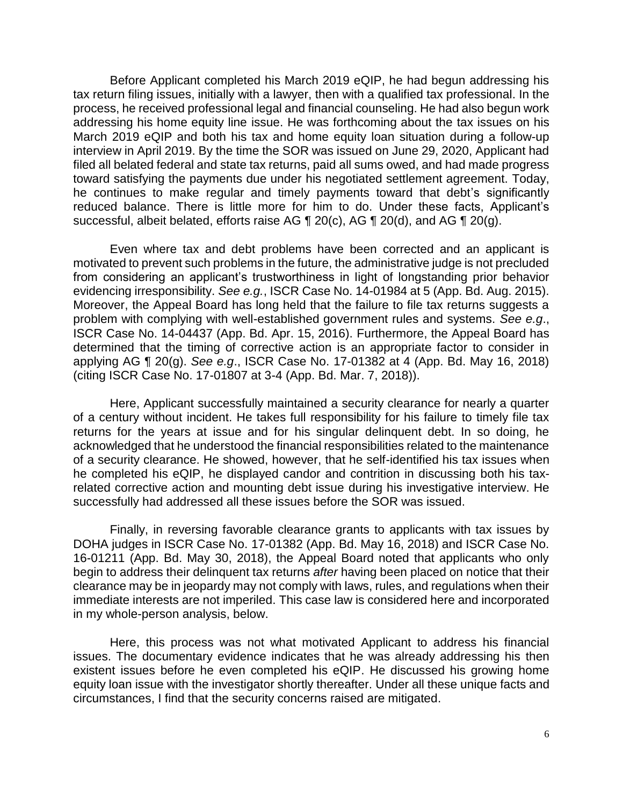Before Applicant completed his March 2019 eQIP, he had begun addressing his tax return filing issues, initially with a lawyer, then with a qualified tax professional. In the process, he received professional legal and financial counseling. He had also begun work addressing his home equity line issue. He was forthcoming about the tax issues on his March 2019 eQIP and both his tax and home equity loan situation during a follow-up interview in April 2019. By the time the SOR was issued on June 29, 2020, Applicant had filed all belated federal and state tax returns, paid all sums owed, and had made progress toward satisfying the payments due under his negotiated settlement agreement. Today, he continues to make regular and timely payments toward that debt's significantly reduced balance. There is little more for him to do. Under these facts, Applicant's successful, albeit belated, efforts raise AG  $\P$  20(c), AG  $\P$  20(d), and AG  $\P$  20(g).

 Even where tax and debt problems have been corrected and an applicant is motivated to prevent such problems in the future, the administrative judge is not precluded from considering an applicant's trustworthiness in light of longstanding prior behavior evidencing irresponsibility. *See e.g.*, ISCR Case No. 14-01984 at 5 (App. Bd. Aug. 2015). Moreover, the Appeal Board has long held that the failure to file tax returns suggests a problem with complying with well-established government rules and systems. *See e.g*., ISCR Case No. 14-04437 (App. Bd. Apr. 15, 2016). Furthermore, the Appeal Board has determined that the timing of corrective action is an appropriate factor to consider in applying AG ¶ 20(g). *See e.g*., ISCR Case No. 17-01382 at 4 (App. Bd. May 16, 2018) (citing ISCR Case No. 17-01807 at 3-4 (App. Bd. Mar. 7, 2018)).

 Here, Applicant successfully maintained a security clearance for nearly a quarter of a century without incident. He takes full responsibility for his failure to timely file tax returns for the years at issue and for his singular delinquent debt. In so doing, he acknowledged that he understood the financial responsibilities related to the maintenance of a security clearance. He showed, however, that he self-identified his tax issues when he completed his eQIP, he displayed candor and contrition in discussing both his tax- related corrective action and mounting debt issue during his investigative interview. He successfully had addressed all these issues before the SOR was issued.

 Finally, in reversing favorable clearance grants to applicants with tax issues by 16-01211 (App. Bd. May 30, 2018), the Appeal Board noted that applicants who only begin to address their delinquent tax returns *after* having been placed on notice that their clearance may be in jeopardy may not comply with laws, rules, and regulations when their immediate interests are not imperiled. This case law is considered here and incorporated DOHA judges in ISCR Case No. 17-01382 (App. Bd. May 16, 2018) and ISCR Case No. in my whole-person analysis, below.

 Here, this process was not what motivated Applicant to address his financial issues. The documentary evidence indicates that he was already addressing his then existent issues before he even completed his eQIP. He discussed his growing home equity loan issue with the investigator shortly thereafter. Under all these unique facts and circumstances, I find that the security concerns raised are mitigated.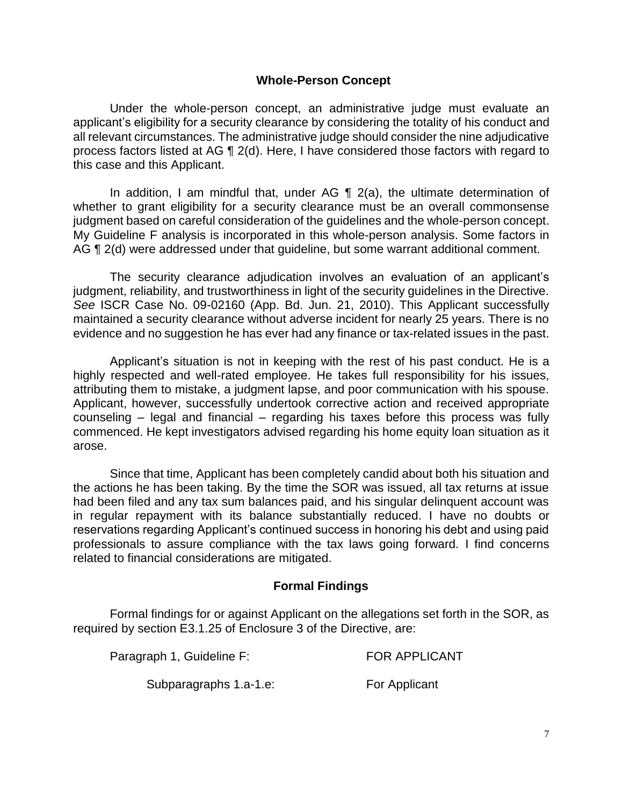### **Whole-Person Concept**

 Under the whole-person concept, an administrative judge must evaluate an applicant's eligibility for a security clearance by considering the totality of his conduct and all relevant circumstances. The administrative judge should consider the nine adjudicative process factors listed at AG ¶ 2(d). Here, I have considered those factors with regard to this case and this Applicant.

In addition, I am mindful that, under AG  $\P$  2(a), the ultimate determination of whether to grant eligibility for a security clearance must be an overall commonsense judgment based on careful consideration of the guidelines and the whole-person concept. My Guideline F analysis is incorporated in this whole-person analysis. Some factors in AG ¶ 2(d) were addressed under that guideline, but some warrant additional comment.

 The security clearance adjudication involves an evaluation of an applicant's judgment, reliability, and trustworthiness in light of the security guidelines in the Directive. *See* ISCR Case No. 09-02160 (App. Bd. Jun. 21, 2010). This Applicant successfully maintained a security clearance without adverse incident for nearly 25 years. There is no evidence and no suggestion he has ever had any finance or tax-related issues in the past.

 Applicant's situation is not in keeping with the rest of his past conduct. He is a highly respected and well-rated employee. He takes full responsibility for his issues, attributing them to mistake, a judgment lapse, and poor communication with his spouse. Applicant, however, successfully undertook corrective action and received appropriate counseling – legal and financial – regarding his taxes before this process was fully commenced. He kept investigators advised regarding his home equity loan situation as it arose.

 Since that time, Applicant has been completely candid about both his situation and the actions he has been taking. By the time the SOR was issued, all tax returns at issue had been filed and any tax sum balances paid, and his singular delinquent account was in regular repayment with its balance substantially reduced. I have no doubts or reservations regarding Applicant's continued success in honoring his debt and using paid professionals to assure compliance with the tax laws going forward. I find concerns related to financial considerations are mitigated.

## **Formal Findings**

 Formal findings for or against Applicant on the allegations set forth in the SOR, as required by section E3.1.25 of Enclosure 3 of the Directive, are:

| Paragraph 1, Guideline F: | <b>FOR APPLICANT</b> |
|---------------------------|----------------------|
| Subparagraphs 1.a-1.e:    | For Applicant        |